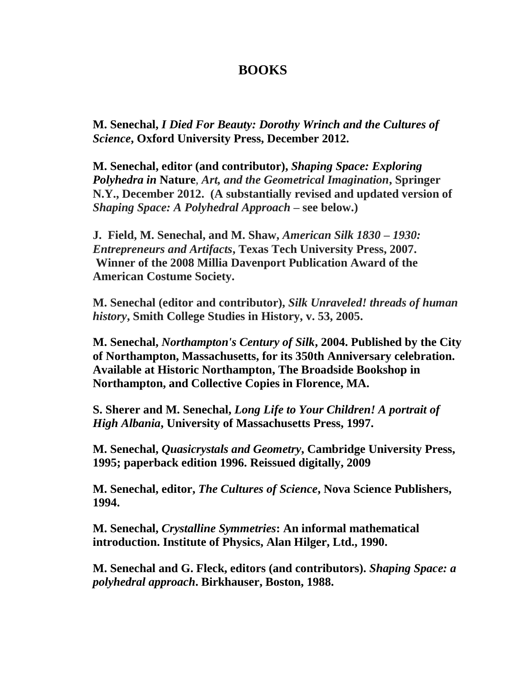## **BOOKS**

**M. Senechal,** *I Died For Beauty: Dorothy Wrinch and the Cultures of Science***, Oxford University Press, December 2012.**

**M. Senechal, editor (and contributor),** *Shaping Space: Exploring Polyhedra in* **Nature***, Art, and the Geometrical Imagination***, Springer N.Y., December 2012. (A substantially revised and updated version of**  *Shaping Space: A Polyhedral Approach* **– see below.)**

**J. Field, M. Senechal, and M. Shaw,** *American Silk 1830 – 1930: Entrepreneurs and Artifacts***, Texas Tech University Press, 2007. Winner of the 2008 Millia Davenport Publication Award of the American Costume Society.** 

**M. Senechal (editor and contributor),** *Silk Unraveled! threads of human history***, Smith College Studies in History, v. 53, 2005.**

**M. Senechal,** *Northampton's Century of Silk***, 2004. Published by the City of Northampton, Massachusetts, for its 350th Anniversary celebration. Available at Historic Northampton, The Broadside Bookshop in Northampton, and Collective Copies in Florence, MA.** 

**S. Sherer and M. Senechal,** *Long Life to Your Children! A portrait of High Albania***, University of Massachusetts Press, 1997.**

**M. Senechal,** *Quasicrystals and Geometry***, Cambridge University Press, 1995; paperback edition 1996. Reissued digitally, 2009**

**M. Senechal, editor,** *The Cultures of Science***, Nova Science Publishers, 1994.**

**M. Senechal,** *Crystalline Symmetries***: An informal mathematical introduction. Institute of Physics, Alan Hilger, Ltd., 1990.**

**M. Senechal and G. Fleck, editors (and contributors).** *Shaping Space: a polyhedral approach***. Birkhauser, Boston, 1988.**